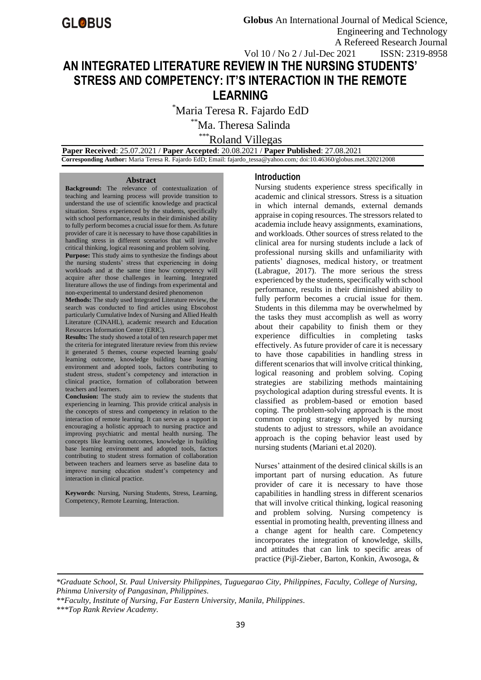# **AN INTEGRATED LITERATURE REVIEW IN THE NURSING STUDENTS' STRESS AND COMPETENCY: IT'S INTERACTION IN THE REMOTE LEARNING**

\*Maria Teresa R. Fajardo EdD

\*\*Ma. Theresa Salinda

\*\*\*Roland Villegas

 **Paper Received**: 25.07.2021 / **Paper Accepted**: 20.08.2021 / **Paper Published**: 27.08.2021  **Corresponding Author:** Maria Teresa R. Fajardo EdD; Email: fajardo\_tessa@yahoo.com*;* doi:10.46360/globus.met.320212008

#### **Abstract**

**Background:** The relevance of contextualization of teaching and learning process will provide transition to understand the use of scientific knowledge and practical situation. Stress experienced by the students, specifically with school performance, results in their diminished ability to fully perform becomes a crucial issue for them. As future provider of care it is necessary to have those capabilities in handling stress in different scenarios that will involve critical thinking, logical reasoning and problem solving.

Purpose: This study aims to synthesize the findings about the nursing students' stress that experiencing in doing workloads and at the same time how competency will acquire after those challenges in learning. Integrated literature allows the use of findings from experimental and non-experimental to understand desired phenomenon

**Methods:** The study used Integrated Literature review, the search was conducted to find articles using Ebscohost particularly Cumulative Index of Nursing and Allied Health Literature (CINAHL), academic research and Education Resources Information Center (ERIC).

**Results:** The study showed a total of ten research paper met the criteria for integrated literature review from this review it generated 5 themes, course expected learning goals/ learning outcome, knowledge building base learning environment and adopted tools, factors contributing to student stress, student's competency and interaction in clinical practice, formation of collaboration between teachers and learners.

**Conclusion:** The study aim to review the students that experiencing in learning. This provide critical analysis in the concepts of stress and competency in relation to the interaction of remote learning. It can serve as a support in encouraging a holistic approach to nursing practice and improving psychiatric and mental health nursing. The concepts like learning outcomes, knowledge in building base learning environment and adopted tools, factors contributing to student stress formation of collaboration between teachers and learners serve as baseline data to improve nursing education student's competency and interaction in clinical practice.

**Keywords**: Nursing, Nursing Students, Stress, Learning, Competency, Remote Learning, Interaction.

#### **Introduction**

Nursing students experience stress specifically in academic and clinical stressors. Stress is a situation in which internal demands, external demands appraise in coping resources. The stressors related to academia include heavy assignments, examinations, and workloads. Other sources of stress related to the clinical area for nursing students include a lack of professional nursing skills and unfamiliarity with patients' diagnoses, medical history, or treatment (Labrague, 2017). The more serious the stress experienced by the students, specifically with school performance, results in their diminished ability to fully perform becomes a crucial issue for them. Students in this dilemma may be overwhelmed by the tasks they must accomplish as well as worry about their capability to finish them or they experience difficulties in completing tasks effectively. As future provider of care it is necessary to have those capabilities in handling stress in different scenarios that will involve critical thinking, logical reasoning and problem solving. Coping strategies are stabilizing methods maintaining psychological adaption during stressful events. It is classified as problem-based or emotion based coping. The problem-solving approach is the most common coping strategy employed by nursing students to adjust to stressors, while an avoidance approach is the coping behavior least used by nursing students (Mariani et.al 2020).

Nurses' attainment of the desired clinical skills is an important part of nursing education. As future provider of care it is necessary to have those capabilities in handling stress in different scenarios that will involve critical thinking, logical reasoning and problem solving. Nursing competency is essential in promoting health, preventing illness and a change agent for health care. Competency incorporates the integration of knowledge, skills, and attitudes that can link to specific areas of practice (Pijl-Zieber, Barton, Konkin, Awosoga, &

*\*Graduate School, St. Paul University Philippines, Tuguegarao City, Philippines, Faculty, College of Nursing, Phinma University of Pangasinan, Philippines.*

*\*\*Faculty, Institute of Nursing, Far Eastern University, Manila, Philippines.*

*\*\*\*Top Rank Review Academy.*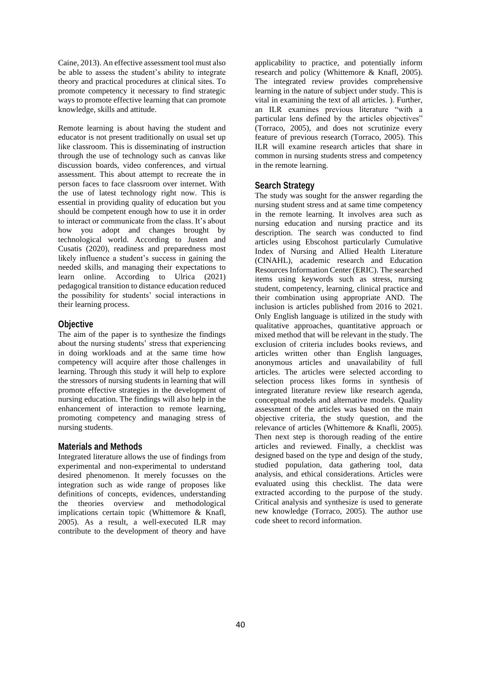Caine, 2013). An effective assessment tool must also be able to assess the student's ability to integrate theory and practical procedures at clinical sites. To promote competency it necessary to find strategic ways to promote effective learning that can promote knowledge, skills and attitude.

Remote learning is about having the student and educator is not present traditionally on usual set up like classroom. This is disseminating of instruction through the use of technology such as canvas like discussion boards, video conferences, and virtual assessment. This about attempt to recreate the in person faces to face classroom over internet. With the use of latest technology right now. This is essential in providing quality of education but you should be competent enough how to use it in order to interact or communicate from the class. It's about how you adopt and changes brought by technological world. According to Justen and Cusatis (2020), readiness and preparedness most likely influence a student's success in gaining the needed skills, and managing their expectations to learn online. According to Ulrica (2021) pedagogical transition to distance education reduced the possibility for students' social interactions in their learning process.

#### **Objective**

The aim of the paper is to synthesize the findings about the nursing students' stress that experiencing in doing workloads and at the same time how competency will acquire after those challenges in learning. Through this study it will help to explore the stressors of nursing students in learning that will promote effective strategies in the development of nursing education. The findings will also help in the enhancement of interaction to remote learning, promoting competency and managing stress of nursing students.

#### **Materials and Methods**

Integrated literature allows the use of findings from experimental and non-experimental to understand desired phenomenon. It merely focusses on the integration such as wide range of proposes like definitions of concepts, evidences, understanding the theories overview and methodological implications certain topic (Whittemore & Knafl, 2005). As a result, a well-executed ILR may contribute to the development of theory and have

applicability to practice, and potentially inform research and policy (Whittemore & Knafl, 2005). The integrated review provides comprehensive learning in the nature of subject under study. This is vital in examining the text of all articles. ). Further, an ILR examines previous literature "with a particular lens defined by the articles objectives" (Torraco, 2005), and does not scrutinize every feature of previous research (Torraco, 2005). This ILR will examine research articles that share in common in nursing students stress and competency in the remote learning.

#### **Search Strategy**

The study was sought for the answer regarding the nursing student stress and at same time competency in the remote learning. It involves area such as nursing education and nursing practice and its description. The search was conducted to find articles using Ebscohost particularly Cumulative Index of Nursing and Allied Health Literature (CINAHL), academic research and Education Resources Information Center (ERIC). The searched items using keywords such as stress, nursing student, competency, learning, clinical practice and their combination using appropriate AND. The inclusion is articles published from 2016 to 2021. Only English language is utilized in the study with qualitative approaches, quantitative approach or mixed method that will be relevant in the study. The exclusion of criteria includes books reviews, and articles written other than English languages, anonymous articles and unavailability of full articles. The articles were selected according to selection process likes forms in synthesis of integrated literature review like research agenda, conceptual models and alternative models. Quality assessment of the articles was based on the main objective criteria, the study question, and the relevance of articles (Whittemore & Knafli, 2005). Then next step is thorough reading of the entire articles and reviewed. Finally, a checklist was designed based on the type and design of the study, studied population, data gathering tool, data analysis, and ethical considerations. Articles were evaluated using this checklist. The data were extracted according to the purpose of the study. Critical analysis and synthesize is used to generate new knowledge (Torraco, 2005). The author use code sheet to record information.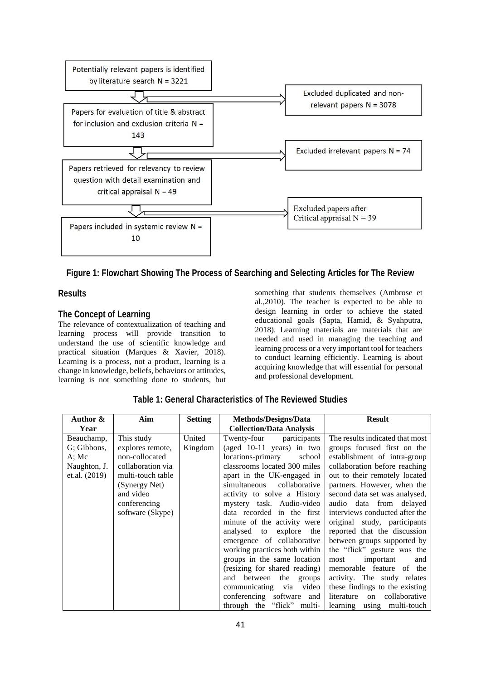

# **Figure 1: Flowchart Showing The Process of Searching and Selecting Articles for The Review**

### **Results**

## **The Concept of Learning**

The relevance of contextualization of teaching and learning process will provide transition to understand the use of scientific knowledge and practical situation (Marques & Xavier, 2018). Learning is a process, not a product, learning is a change in knowledge, beliefs, behaviors or attitudes, learning is not something done to students, but

something that students themselves (Ambrose et al.,2010). The teacher is expected to be able to design learning in order to achieve the stated educational goals (Sapta, Hamid, & Syahputra, 2018). Learning materials are materials that are needed and used in managing the teaching and learning process or a very important tool for teachers to conduct learning efficiently. Learning is about acquiring knowledge that will essential for personal and professional development.

| Author &        | Aim               | <b>Setting</b> | Methods/Designs/Data            | <b>Result</b>                     |
|-----------------|-------------------|----------------|---------------------------------|-----------------------------------|
| Year            |                   |                | <b>Collection/Data Analysis</b> |                                   |
| Beauchamp,      | This study        | United         | Twenty-four<br>participants     | The results indicated that most   |
| G: Gibbons,     | explores remote,  | Kingdom        | (aged 10-11 years) in two       | groups focused first on the       |
| A; Mc           | non-collocated    |                | locations-primary<br>school     | establishment of intra-group      |
| Naughton, J.    | collaboration via |                | classrooms located 300 miles    | collaboration before reaching     |
| et.al. $(2019)$ | multi-touch table |                | apart in the UK-engaged in      | out to their remotely located     |
|                 | (Synergy Net)     |                | simultaneous<br>collaborative   | partners. However, when the       |
|                 | and video         |                | activity to solve a History     | second data set was analysed,     |
|                 | conferencing      |                | mystery task. Audio-video       | audio data from delayed           |
|                 | software (Skype)  |                | data recorded in the first      | interviews conducted after the    |
|                 |                   |                | minute of the activity were     | original study, participants      |
|                 |                   |                | analysed to explore<br>the      | reported that the discussion      |
|                 |                   |                | emergence of collaborative      | between groups supported by       |
|                 |                   |                | working practices both within   | the "flick" gesture was the       |
|                 |                   |                | groups in the same location     | important<br>most<br>and          |
|                 |                   |                | (resizing for shared reading)   | memorable feature of the          |
|                 |                   |                | the<br>and between<br>groups    | activity. The study relates       |
|                 |                   |                | video<br>communicating via      | these findings to the existing    |
|                 |                   |                | conferencing software<br>and    | collaborative<br>literature<br>on |
|                 |                   |                | through the "flick" multi-      | learning using multi-touch        |

**Table 1: General Characteristics of The Reviewed Studies**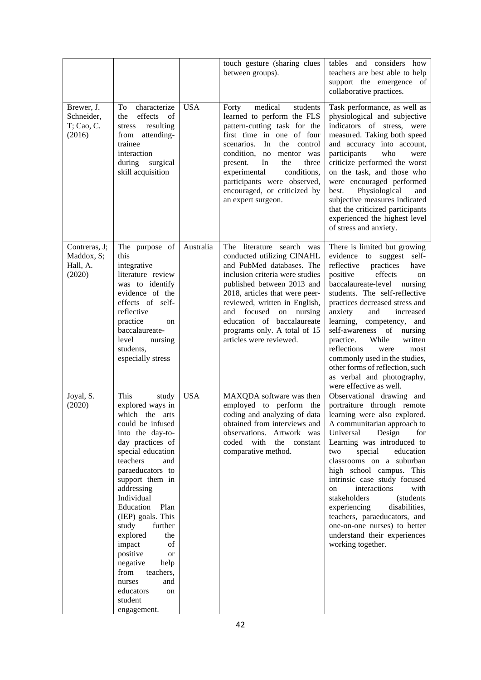|                                                   |                                                                                                                                                                                                                                                                                                                                                                                                                                                         |            | touch gesture (sharing clues<br>between groups).                                                                                                                                                                                                                                                                                                      | tables and considers how<br>teachers are best able to help<br>support the emergence of<br>collaborative practices.                                                                                                                                                                                                                                                                                                                                                                                                            |
|---------------------------------------------------|---------------------------------------------------------------------------------------------------------------------------------------------------------------------------------------------------------------------------------------------------------------------------------------------------------------------------------------------------------------------------------------------------------------------------------------------------------|------------|-------------------------------------------------------------------------------------------------------------------------------------------------------------------------------------------------------------------------------------------------------------------------------------------------------------------------------------------------------|-------------------------------------------------------------------------------------------------------------------------------------------------------------------------------------------------------------------------------------------------------------------------------------------------------------------------------------------------------------------------------------------------------------------------------------------------------------------------------------------------------------------------------|
| Brewer, J.<br>Schneider,<br>T; Cao, C.<br>(2016)  | characterize<br>To<br>effects<br>the<br>of<br>resulting<br>stress<br>attending-<br>from<br>trainee<br>interaction<br>during<br>surgical<br>skill acquisition                                                                                                                                                                                                                                                                                            | <b>USA</b> | medical<br>students<br>Forty<br>learned to perform the FLS<br>pattern-cutting task for the<br>first time in one of four<br>scenarios.<br>In<br>the<br>control<br>condition,<br>no<br>mentor was<br>the<br>three<br>present.<br>In<br>experimental<br>conditions,<br>participants were observed,<br>encouraged, or criticized by<br>an expert surgeon. | Task performance, as well as<br>physiological and subjective<br>indicators of stress, were<br>measured. Taking both speed<br>and accuracy into account,<br>participants<br>who<br>were<br>criticize performed the worst<br>on the task, and those who<br>were encouraged performed<br>best.<br>Physiological<br>and<br>subjective measures indicated<br>that the criticized participants<br>experienced the highest level<br>of stress and anxiety.                                                                           |
| Contreras, J;<br>Maddox, S;<br>Hall, A.<br>(2020) | The purpose of<br>this<br>integrative<br>literature review<br>was to identify<br>evidence of the<br>effects of self-<br>reflective<br>practice<br><sub>on</sub><br>baccalaureate-<br>level<br>nursing<br>students,<br>especially stress                                                                                                                                                                                                                 | Australia  | literature search was<br>The<br>conducted utilizing CINAHL<br>and PubMed databases. The<br>inclusion criteria were studies<br>published between 2013 and<br>2018, articles that were peer-<br>reviewed, written in English,<br>and focused on nursing<br>education of baccalaureate<br>programs only. A total of 15<br>articles were reviewed.        | There is limited but growing<br>evidence to suggest<br>self-<br>reflective<br>practices<br>have<br>positive<br>effects<br>on<br>baccalaureate-level<br>nursing<br>students. The self-reflective<br>practices decreased stress and<br>anxiety<br>and<br>increased<br>learning,<br>competency, and<br>self-awareness of<br>nursing<br>practice.<br>While<br>written<br>reflections<br>most<br>were<br>commonly used in the studies,<br>other forms of reflection, such<br>as verbal and photography,<br>were effective as well. |
| Joyal, S.<br>(2020)                               | This<br>study<br>explored ways in<br>which<br>the arts<br>could be infused<br>into the day-to-<br>day practices of<br>special education<br>teachers<br>and<br>paraeducators to<br>support them in<br>addressing<br>Individual<br>Education<br>Plan<br>(IEP) goals. This<br>study<br>further<br>explored<br>the<br>impact<br>of<br>positive<br>or<br>negative<br>help<br>from<br>teachers,<br>and<br>nurses<br>educators<br>on<br>student<br>engagement. | <b>USA</b> | MAXQDA software was then<br>employed to perform<br>the<br>coding and analyzing of data<br>obtained from interviews and<br>observations. Artwork was<br>coded with<br>the constant<br>comparative method.                                                                                                                                              | Observational drawing and<br>portraiture through remote<br>learning were also explored.<br>A communitarian approach to<br>Universal<br>Design<br>for<br>Learning was introduced to<br>special<br>education<br>two<br>classrooms on a suburban<br>high school campus. This<br>intrinsic case study focused<br>interactions<br>with<br>on<br>stakeholders<br>(students<br>experiencing<br>disabilities,<br>teachers, paraeducators, and<br>one-on-one nurses) to better<br>understand their experiences<br>working together.    |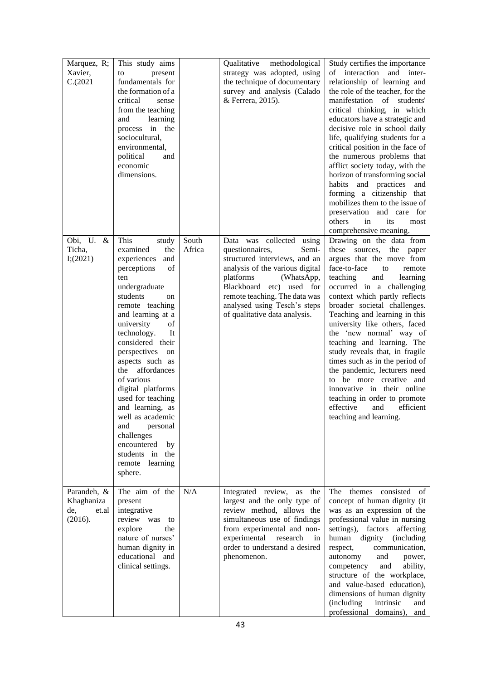| Marquez, R;<br>Xavier,<br>C.(2021)                   | This study aims<br>present<br>to<br>fundamentals for<br>the formation of a<br>critical<br>sense<br>from the teaching<br>and<br>learning<br>in the<br>process<br>sociocultural,<br>environmental,<br>political<br>and<br>economic<br>dimensions.                                                                                                                                                                                                                                            |                 | methodological<br>Qualitative<br>strategy was adopted, using<br>the technique of documentary<br>survey and analysis (Calado<br>& Ferrera, 2015).                                                                                                                                     | Study certifies the importance<br>of interaction and inter-<br>relationship of learning and<br>the role of the teacher, for the<br>manifestation of<br>students'<br>critical thinking, in which<br>educators have a strategic and<br>decisive role in school daily<br>life, qualifying students for a<br>critical position in the face of<br>the numerous problems that<br>afflict society today, with the<br>horizon of transforming social<br>habits<br>and practices<br>and<br>forming a citizenship that<br>mobilizes them to the issue of<br>preservation and care for<br>others<br>in<br>its<br>most<br>comprehensive meaning. |
|------------------------------------------------------|--------------------------------------------------------------------------------------------------------------------------------------------------------------------------------------------------------------------------------------------------------------------------------------------------------------------------------------------------------------------------------------------------------------------------------------------------------------------------------------------|-----------------|--------------------------------------------------------------------------------------------------------------------------------------------------------------------------------------------------------------------------------------------------------------------------------------|--------------------------------------------------------------------------------------------------------------------------------------------------------------------------------------------------------------------------------------------------------------------------------------------------------------------------------------------------------------------------------------------------------------------------------------------------------------------------------------------------------------------------------------------------------------------------------------------------------------------------------------|
| Obi, U.<br>$\&$<br>Ticha,<br>I(2021)                 | This<br>study<br>the<br>examined<br>experiences<br>and<br>perceptions<br>οf<br>ten<br>undergraduate<br>students<br>on<br>remote teaching<br>and learning at a<br>university<br>of<br>technology.<br>It<br>considered their<br>perspectives on<br>aspects such as<br>the affordances<br>of various<br>digital platforms<br>used for teaching<br>and learning, as<br>well as academic<br>personal<br>and<br>challenges<br>encountered<br>by<br>students in the<br>remote learning<br>sphere. | South<br>Africa | Data was collected<br>using<br>questionnaires,<br>Semi-<br>structured interviews, and an<br>analysis of the various digital<br>platforms<br>(WhatsApp,<br>Blackboard etc) used for<br>remote teaching. The data was<br>analysed using Tesch's steps<br>of qualitative data analysis. | Drawing on the data from<br>these sources, the paper<br>argues that the move from<br>face-to-face<br>to<br>remote<br>teaching<br>and<br>learning<br>occurred in a challenging<br>context which partly reflects<br>broader societal challenges.<br>Teaching and learning in this<br>university like others, faced<br>the 'new normal' way of<br>teaching and learning. The<br>study reveals that, in fragile<br>times such as in the period of<br>the pandemic, lecturers need<br>to be more creative and<br>innovative in their online<br>teaching in order to promote<br>effective<br>efficient<br>and<br>teaching and learning.    |
| Parandeh, &<br>Khaghaniza<br>de,<br>et.al<br>(2016). | The aim of the<br>present<br>integrative<br>review<br>was<br>to<br>explore<br>the<br>nature of nurses'<br>human dignity in<br>educational and<br>clinical settings.                                                                                                                                                                                                                                                                                                                        | N/A             | Integrated review,<br>the<br>as<br>largest and the only type of<br>review method, allows the<br>simultaneous use of findings<br>from experimental and non-<br>experimental<br>research<br>in<br>order to understand a desired<br>phenomenon.                                         | The<br>consisted<br>themes<br>of<br>concept of human dignity (it<br>was as an expression of the<br>professional value in nursing<br>settings),<br>factors<br>affecting<br>dignity<br>human<br>(including<br>respect,<br>communication,<br>autonomy<br>and<br>power,<br>ability,<br>competency<br>and<br>structure of the workplace,<br>and value-based education),<br>dimensions of human dignity<br>(including<br>intrinsic<br>and<br>professional domains),<br>and                                                                                                                                                                 |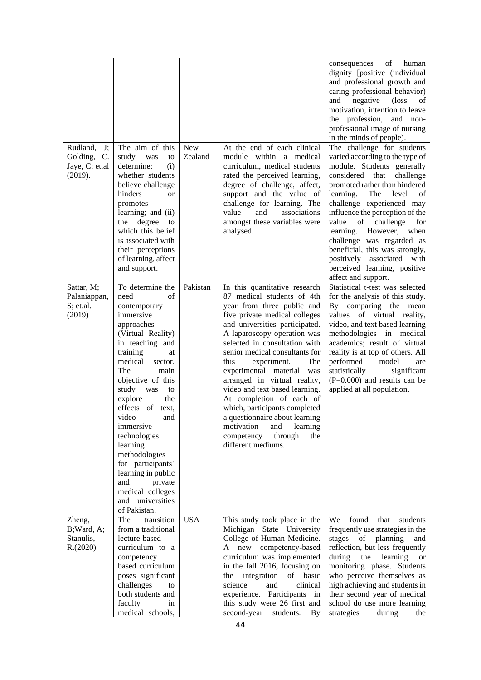| Rudland,<br>$J$ ;<br>Golding,<br>C.<br>Jaye, C; et.al<br>(2019). | The aim of this<br>study<br>was<br>to<br>determine:<br>(i)<br>whether students<br>believe challenge<br>hinders<br><sub>or</sub><br>promotes<br>learning; and (ii)<br>degree<br>the<br>to<br>which this belief<br>is associated with<br>their perceptions<br>of learning, affect                                                                                                                                                                                             | <b>New</b><br>Zealand | At the end of each clinical<br>module within a medical<br>curriculum, medical students<br>rated the perceived learning,<br>degree of challenge, affect,<br>support and the value of<br>challenge for learning. The<br>and<br>associations<br>value<br>amongst these variables were<br>analysed.                                                                                                                                                                                                                                                                                      | of<br>consequences<br>human<br>dignity [positive (individual<br>and professional growth and<br>caring professional behavior)<br>negative<br>(loss)<br>and<br>of<br>motivation, intention to leave<br>the profession, and non-<br>professional image of nursing<br>in the minds of people).<br>The challenge for students<br>varied according to the type of<br>module. Students generally<br>considered<br>challenge<br>that<br>promoted rather than hindered<br>level<br>learning.<br>The<br>οf<br>challenge experienced may<br>influence the perception of the<br>challenge<br>value<br>of<br>for<br>learning.<br>However,<br>when<br>challenge was regarded as<br>beneficial, this was strongly,<br>positively associated with |
|------------------------------------------------------------------|-----------------------------------------------------------------------------------------------------------------------------------------------------------------------------------------------------------------------------------------------------------------------------------------------------------------------------------------------------------------------------------------------------------------------------------------------------------------------------|-----------------------|--------------------------------------------------------------------------------------------------------------------------------------------------------------------------------------------------------------------------------------------------------------------------------------------------------------------------------------------------------------------------------------------------------------------------------------------------------------------------------------------------------------------------------------------------------------------------------------|-----------------------------------------------------------------------------------------------------------------------------------------------------------------------------------------------------------------------------------------------------------------------------------------------------------------------------------------------------------------------------------------------------------------------------------------------------------------------------------------------------------------------------------------------------------------------------------------------------------------------------------------------------------------------------------------------------------------------------------|
| Sattar, M;<br>Palaniappan,<br>$S$ ; et.al.<br>(2019)             | and support.<br>To determine the<br>need<br>of<br>contemporary<br>immersive<br>approaches<br>(Virtual Reality)<br>in teaching and<br>training<br>at<br>medical<br>sector.<br>The<br>main<br>objective of this<br>study<br>was<br>to<br>explore<br>the<br>of text,<br>effects<br>video<br>and<br>immersive<br>technologies<br>learning<br>methodologies<br>for participants'<br>learning in public<br>and<br>private<br>medical colleges<br>and universities<br>of Pakistan. | Pakistan              | In this quantitative research<br>87 medical students of 4th<br>year from three public and<br>five private medical colleges<br>and universities participated.<br>A laparoscopy operation was<br>selected in consultation with<br>senior medical consultants for<br>this<br>experiment.<br>The<br>experimental material<br>was<br>arranged in virtual reality,<br>video and text based learning.<br>At completion of each of<br>which, participants completed<br>a questionnaire about learning<br>motivation<br>learning<br>and<br>through<br>competency<br>the<br>different mediums. | perceived learning, positive<br>affect and support.<br>Statistical t-test was selected<br>for the analysis of this study.<br>By comparing the mean<br>values of virtual<br>reality,<br>video, and text based learning<br>methodologies in medical<br>academics; result of virtual<br>reality is at top of others. All<br>performed<br>model<br>are<br>statistically<br>significant<br>(P=0.000) and results can be<br>applied at all population.                                                                                                                                                                                                                                                                                  |
| Zheng,<br>B; Ward, A;<br>Stanulis,<br>R.(2020)                   | transition<br>The<br>from a traditional<br>lecture-based<br>curriculum to a<br>competency<br>based curriculum<br>poses significant<br>challenges<br>to<br>both students and<br>faculty<br>in<br>medical schools,                                                                                                                                                                                                                                                            | <b>USA</b>            | This study took place in the<br>Michigan State University<br>College of Human Medicine.<br>A new competency-based<br>curriculum was implemented<br>in the fall 2016, focusing on<br>integration<br>of<br>basic<br>the<br>science<br>and<br>clinical<br>experience. Participants in<br>this study were 26 first and<br>second-year<br>students.<br>By                                                                                                                                                                                                                                 | We<br>found<br>that<br>students<br>frequently use strategies in the<br>stages<br>of<br>planning<br>and<br>reflection, but less frequently<br>during<br>the<br>learning<br><b>or</b><br>monitoring phase. Students<br>who perceive themselves as<br>high achieving and students in<br>their second year of medical<br>school do use more learning<br>strategies<br>during<br>the                                                                                                                                                                                                                                                                                                                                                   |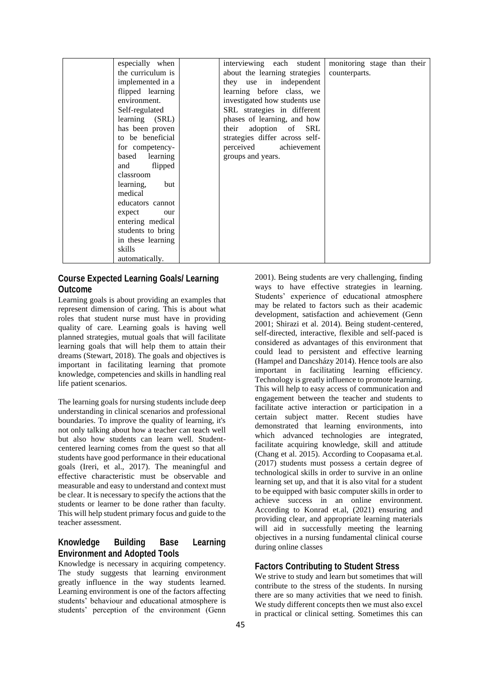| especially when   | interviewing each student       | monitoring stage than their |
|-------------------|---------------------------------|-----------------------------|
| the curriculum is | about the learning strategies   | counterparts.               |
| implemented in a  | they use in independent         |                             |
| flipped learning  | learning before class, we       |                             |
| environment.      | investigated how students use   |                             |
| Self-regulated    | SRL strategies in different     |                             |
| learning (SRL)    | phases of learning, and how     |                             |
| has been proven   | their adoption of<br><b>SRL</b> |                             |
| to be beneficial  | strategies differ across self-  |                             |
| for competency-   | perceived achievement           |                             |
| based learning    | groups and years.               |                             |
| flipped<br>and    |                                 |                             |
| classroom         |                                 |                             |
| learning,<br>but  |                                 |                             |
| medical           |                                 |                             |
| educators cannot  |                                 |                             |
| expect<br>our     |                                 |                             |
| entering medical  |                                 |                             |
| students to bring |                                 |                             |
| in these learning |                                 |                             |
| skills            |                                 |                             |
| automatically.    |                                 |                             |

## **Course Expected Learning Goals/ Learning Outcome**

Learning goals is about providing an examples that represent dimension of caring. This is about what roles that student nurse must have in providing quality of care. Learning goals is having well planned strategies, mutual goals that will facilitate learning goals that will help them to attain their dreams (Stewart, 2018). The goals and objectives is important in facilitating learning that promote knowledge, competencies and skills in handling real life patient scenarios.

The learning goals for nursing students include deep understanding in clinical scenarios and professional boundaries. To improve the quality of learning, it's not only talking about how a teacher can teach well but also how students can learn well. Studentcentered learning comes from the quest so that all students have good performance in their educational goals (Ireri, et al., 2017). The meaningful and effective characteristic must be observable and measurable and easy to understand and context must be clear. It is necessary to specify the actions that the students or learner to be done rather than faculty. This will help student primary focus and guide to the teacher assessment.

## **Knowledge Building Base Learning Environment and Adopted Tools**

Knowledge is necessary in acquiring competency. The study suggests that learning environment greatly influence in the way students learned. Learning environment is one of the factors affecting students' behaviour and educational atmosphere is students' perception of the environment (Genn

2001). Being students are very challenging, finding ways to have effective strategies in learning. Students' experience of educational atmosphere may be related to factors such as their academic development, satisfaction and achievement (Genn 2001; Shirazi et al. 2014). Being student-centered, self-directed, interactive, flexible and self-paced is considered as advantages of this environment that could lead to persistent and effective learning (Hampel and Dancsházy 2014). Hence tools are also important in facilitating learning efficiency. Technology is greatly influence to promote learning. This will help to easy access of communication and engagement between the teacher and students to facilitate active interaction or participation in a certain subject matter. Recent studies have demonstrated that learning environments, into which advanced technologies are integrated, facilitate acquiring knowledge, skill and attitude (Chang et al. 2015). According to Coopasama et.al. (2017) students must possess a certain degree of technological skills in order to survive in an online learning set up, and that it is also vital for a student to be equipped with basic computer skills in order to achieve success in an online environment. According to Konrad et.al, (2021) ensuring and providing clear, and appropriate learning materials will aid in successfully meeting the learning objectives in a nursing fundamental clinical course during online classes

## **Factors Contributing to Student Stress**

We strive to study and learn but sometimes that will contribute to the stress of the students. In nursing there are so many activities that we need to finish. We study different concepts then we must also excel in practical or clinical setting. Sometimes this can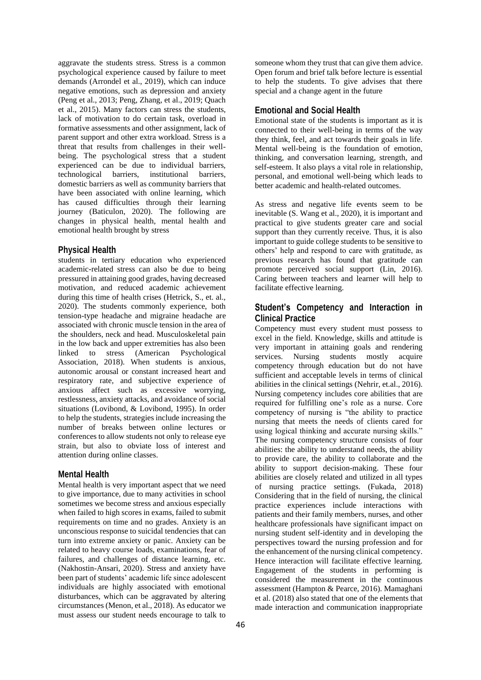aggravate the students stress. Stress is a common psychological experience caused by failure to meet demands (Arrondel et al., 2019), which can induce negative emotions, such as depression and anxiety (Peng et al., 2013; Peng, Zhang, et al., 2019; Quach et al., 2015). Many factors can stress the students, lack of motivation to do certain task, overload in formative assessments and other assignment, lack of parent support and other extra workload. Stress is a threat that results from challenges in their wellbeing. The psychological stress that a student experienced can be due to individual barriers, technological barriers, institutional barriers, domestic barriers as well as community barriers that have been associated with online learning, which has caused difficulties through their learning journey (Baticulon, 2020). The following are changes in physical health, mental health and emotional health brought by stress

### **Physical Health**

students in tertiary education who experienced academic-related stress can also be due to being pressured in attaining good grades, having decreased motivation, and reduced academic achievement during this time of health crises (Hetrick, S., et. al., 2020). The students commonly experience, both tension-type headache and migraine headache are associated with chronic muscle tension in the area of the shoulders, neck and head. Musculoskeletal pain in the low back and upper extremities has also been linked to stress (American Psychological Association, 2018). When students is anxious, autonomic arousal or constant increased heart and respiratory rate, and subjective experience of anxious affect such as excessive worrying, restlessness, anxiety attacks, and avoidance of social situations (Lovibond, & Lovibond, 1995). In order to help the students, strategies include increasing the number of breaks between online lectures or conferences to allow students not only to release eye strain, but also to obviate loss of interest and attention during online classes.

### **Mental Health**

Mental health is very important aspect that we need to give importance, due to many activities in school sometimes we become stress and anxious especially when failed to high scores in exams, failed to submit requirements on time and no grades. Anxiety is an unconscious response to suicidal tendencies that can turn into extreme anxiety or panic. Anxiety can be related to heavy course loads, examinations, fear of failures, and challenges of distance learning, etc. (Nakhostin-Ansari, 2020). Stress and anxiety have been part of students' academic life since adolescent individuals are highly associated with emotional disturbances, which can be aggravated by altering circumstances (Menon, et al., 2018). As educator we must assess our student needs encourage to talk to

someone whom they trust that can give them advice. Open forum and brief talk before lecture is essential to help the students. To give advises that there special and a change agent in the future

## **Emotional and Social Health**

Emotional state of the students is important as it is connected to their well-being in terms of the way they think, feel, and act towards their goals in life. Mental well-being is the foundation of emotion, thinking, and conversation learning, strength, and self-esteem. It also plays a vital role in relationship, personal, and emotional well-being which leads to better academic and health-related outcomes.

As stress and negative life events seem to be inevitable (S. Wang et al., 2020), it is important and practical to give students greater care and social support than they currently receive. Thus, it is also important to guide college students to be sensitive to others' help and respond to care with gratitude, as previous research has found that gratitude can promote perceived social support (Lin, 2016). Caring between teachers and learner will help to facilitate effective learning.

## **Student's Competency and Interaction in Clinical Practice**

Competency must every student must possess to excel in the field. Knowledge, skills and attitude is very important in attaining goals and rendering services. Nursing students mostly acquire competency through education but do not have sufficient and acceptable levels in terms of clinical abilities in the clinical settings (Nehrir, et.al., 2016). Nursing competency includes core abilities that are required for fulfilling one's role as a nurse. Core competency of nursing is "the ability to practice nursing that meets the needs of clients cared for using logical thinking and accurate nursing skills." The nursing competency structure consists of four abilities: the ability to understand needs, the ability to provide care, the ability to collaborate and the ability to support decision-making. These four abilities are closely related and utilized in all types of nursing practice settings. (Fukada, 2018) Considering that in the field of nursing, the clinical practice experiences include interactions with patients and their family members, nurses, and other healthcare professionals have significant impact on nursing student self-identity and in developing the perspectives toward the nursing profession and for the enhancement of the nursing clinical competency. Hence interaction will facilitate effective learning. Engagement of the students in performing is considered the measurement in the continuous assessment (Hampton & Pearce, 2016). Mamaghani et al. (2018) also stated that one of the elements that made interaction and communication inappropriate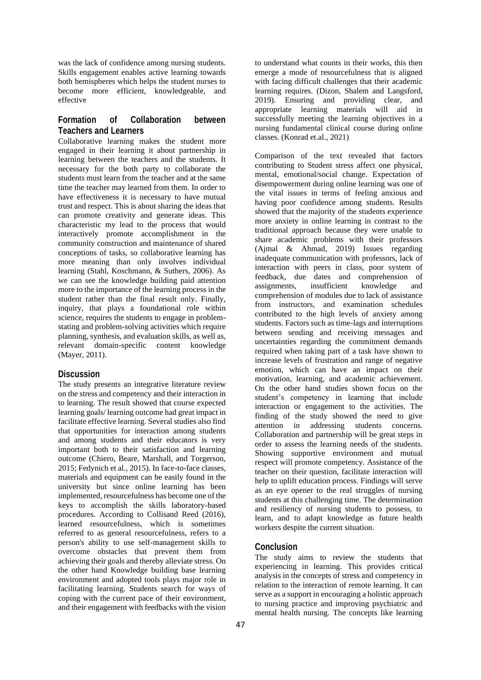was the lack of confidence among nursing students. Skills engagement enables active learning towards both hemispheres which helps the student nurses to become more efficient, knowledgeable, and effective

## **Formation of Collaboration between Teachers and Learners**

Collaborative learning makes the student more engaged in their learning it about partnership in learning between the teachers and the students. It necessary for the both party to collaborate the students must learn from the teacher and at the same time the teacher may learned from them. In order to have effectiveness it is necessary to have mutual trust and respect. This is about sharing the ideas that can promote creativity and generate ideas. This characteristic my lead to the process that would interactively promote accomplishment in the community construction and maintenance of shared conceptions of tasks, so collaborative learning has more meaning than only involves individual learning (Stahl, Koschmann, & Suthers, 2006). As we can see the knowledge building paid attention more to the importance of the learning process in the student rather than the final result only. Finally, inquiry, that plays a foundational role within science, requires the students to engage in problemstating and problem-solving activities which require planning, synthesis, and evaluation skills, as well as, relevant domain-specific content knowledge (Mayer, 2011).

### **Discussion**

The study presents an integrative literature review on the stress and competency and their interaction in to learning. The result showed that course expected learning goals/ learning outcome had great impact in facilitate effective learning. Several studies also find that opportunities for interaction among students and among students and their educators is very important both to their satisfaction and learning outcome (Chiero, Beare, Marshall, and Torgerson, 2015; Fedynich et al., 2015). In face-to-face classes, materials and equipment can be easily found in the university but since online learning has been implemented, resourcefulness has become one of the keys to accomplish the skills laboratory-based procedures. According to Collisand Reed (2016), learned resourcefulness, which is sometimes referred to as general resourcefulness, refers to a person's ability to use self-management skills to overcome obstacles that prevent them from achieving their goals and thereby alleviate stress. On the other hand Knowledge building base learning environment and adopted tools plays major role in facilitating learning. Students search for ways of coping with the current pace of their environment, and their engagement with feedbacks with the vision

to understand what counts in their works, this then emerge a mode of resourcefulness that is aligned with facing difficult challenges that their academic learning requires. (Dizon, Shalem and Langsford, 2019). Ensuring and providing clear, and appropriate learning materials will aid in successfully meeting the learning objectives in a nursing fundamental clinical course during online classes. (Konrad et.al., 2021)

Comparison of the text revealed that factors contributing to Student stress affect one physical, mental, emotional/social change. Expectation of disempowerment during online learning was one of the vital issues in terms of feeling anxious and having poor confidence among students. Results showed that the majority of the students experience more anxiety in online learning in contrast to the traditional approach because they were unable to share academic problems with their professors (Ajmal & Ahmad, 2019) Issues regarding inadequate communication with professors, lack of interaction with peers in class, poor system of feedback, due dates and comprehension of assignments, insufficient knowledge and comprehension of modules due to lack of assistance from instructors, and examination schedules contributed to the high levels of anxiety among students. Factors such as time-lags and interruptions between sending and receiving messages and uncertainties regarding the commitment demands required when taking part of a task have shown to increase levels of frustration and range of negative emotion, which can have an impact on their motivation, learning, and academic achievement. On the other hand studies shown focus on the student's competency in learning that include interaction or engagement to the activities. The finding of the study showed the need to give attention in addressing students concerns. Collaboration and partnership will be great steps in order to assess the learning needs of the students. Showing supportive environment and mutual respect will promote competency. Assistance of the teacher on their question, facilitate interaction will help to uplift education process. Findings will serve as an eye opener to the real struggles of nursing students at this challenging time. The determination and resiliency of nursing students to possess, to learn, and to adapt knowledge as future health workers despite the current situation.

## **Conclusion**

The study aims to review the students that experiencing in learning. This provides critical analysis in the concepts of stress and competency in relation to the interaction of remote learning. It can serve as a support in encouraging a holistic approach to nursing practice and improving psychiatric and mental health nursing. The concepts like learning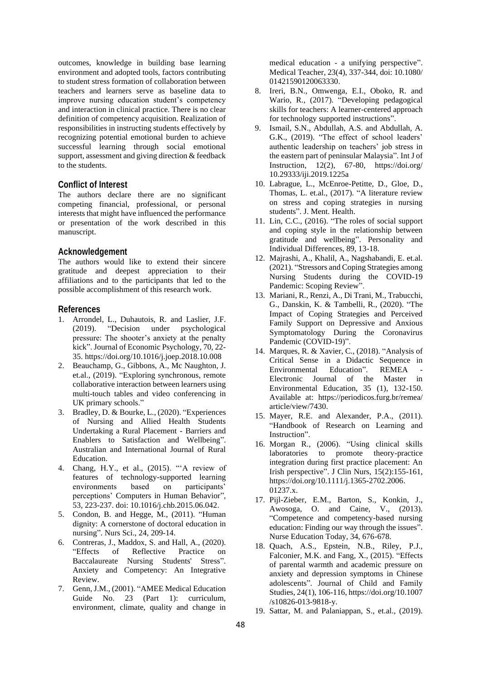outcomes, knowledge in building base learning environment and adopted tools, factors contributing to student stress formation of collaboration between teachers and learners serve as baseline data to improve nursing education student's competency and interaction in clinical practice. There is no clear definition of competency acquisition. Realization of responsibilities in instructing students effectively by recognizing potential emotional burden to achieve successful learning through social emotional support, assessment and giving direction & feedback to the students.

### **Conflict of Interest**

The authors declare there are no significant competing financial, professional, or personal interests that might have influenced the performance or presentation of the work described in this manuscript.

### **Acknowledgement**

The authors would like to extend their sincere gratitude and deepest appreciation to their affiliations and to the participants that led to the possible accomplishment of this research work.

#### **References**

- 1. Arrondel, L., Duhautois, R. and Laslier, J.F. (2019). "Decision under psychological pressure: The shooter's anxiety at the penalty kick". Journal of Economic Psychology, 70, 22- 35. https://doi.org/10.1016/j.joep.2018.10.008
- 2. Beauchamp, G., Gibbons, A., Mc Naughton, J. et.al., (2019). "Exploring synchronous, remote collaborative interaction between learners using multi-touch tables and video conferencing in UK primary schools."
- 3. Bradley, D. & Bourke, L., (2020). "Experiences of Nursing and Allied Health Students Undertaking a Rural Placement - Barriers and Enablers to Satisfaction and Wellbeing". Australian and International Journal of Rural Education.
- 4. Chang, H.Y., et al., (2015). "'A review of features of technology-supported learning environments based on participants' perceptions' Computers in Human Behavior", 53, 223-237. doi: 10.1016/j.chb.2015.06.042.
- 5. Condon, B. and Hegge, M., (2011). "Human dignity: A cornerstone of doctoral education in nursing". Nurs Sci., 24, 209-14.
- 6. Contreras, J., Maddox, S. and Hall, A., (2020). "Effects of Reflective Practice on Baccalaureate Nursing Students' Stress". Anxiety and Competency: An Integrative Review.
- 7. Genn, J.M., (2001). "AMEE Medical Education Guide No. 23 (Part 1): curriculum, environment, climate, quality and change in

medical education - a unifying perspective". Medical Teacher, 23(4), 337-344, doi: 10.1080/ 01421590120063330.

- 8. Ireri, B.N., Omwenga, E.I., Oboko, R. and Wario, R., (2017). "Developing pedagogical skills for teachers: A learner-centered approach for technology supported instructions".
- 9. Ismail, S.N., Abdullah, A.S. and Abdullah, A. G.K., (2019). "The effect of school leaders' authentic leadership on teachers' job stress in the eastern part of peninsular Malaysia". Int J of Instruction, 12(2), 67-80, https://doi.org/ 10.29333/iji.2019.1225a
- 10. Labrague, L., McEnroe-Petitte, D., Gloe, D., Thomas, L. et.al., (2017). "A literature review on stress and coping strategies in nursing students". J. Ment. Health.
- 11. Lin, C.C., (2016). "The roles of social support and coping style in the relationship between gratitude and wellbeing". Personality and Individual Differences, 89, 13-18.
- 12. Majrashi, A., Khalil, A., Nagshabandi, E. et.al. (2021). "Stressors and Coping Strategies among Nursing Students during the COVID-19 Pandemic: Scoping Review".
- 13. Mariani, R., Renzi, A., Di Trani, M., Trabucchi, G., Danskin, K. & Tambelli, R., (2020). "The Impact of Coping Strategies and Perceived Family Support on Depressive and Anxious Symptomatology During the Coronavirus Pandemic (COVID-19)".
- 14. Marques, R. & Xavier, C., (2018). "Analysis of Critical Sense in a Didactic Sequence in Environmental Education". REMEA Electronic Journal of the Master in Environmental Education, 35 (1), 132-150. Available at: https://periodicos.furg.br/remea/ article/view/7430.
- 15. Mayer, R.E. and Alexander, P.A., (2011). "Handbook of Research on Learning and Instruction".
- 16. Morgan R., (2006). "Using clinical skills laboratories to promote theory-practice integration during first practice placement: An Irish perspective". J Clin Nurs, 15(2):155-161, https://doi.org/10.1111/j.1365-2702.2006. 01237.x.
- 17. Pijl-Zieber, E.M., Barton, S., Konkin, J., Awosoga, O. and Caine, V., (2013). "Competence and competency-based nursing education: Finding our way through the issues". Nurse Education Today, 34, 676-678.
- 18. Quach, A.S., Epstein, N.B., Riley, P.J., Falconier, M.K. and Fang, X., (2015). "Effects of parental warmth and academic pressure on anxiety and depression symptoms in Chinese adolescents". Journal of Child and Family Studies, 24(1), 106-116, https://doi.org/10.1007 /s10826-013-9818-y.
- 19. Sattar, M. and Palaniappan, S., et.al., (2019).